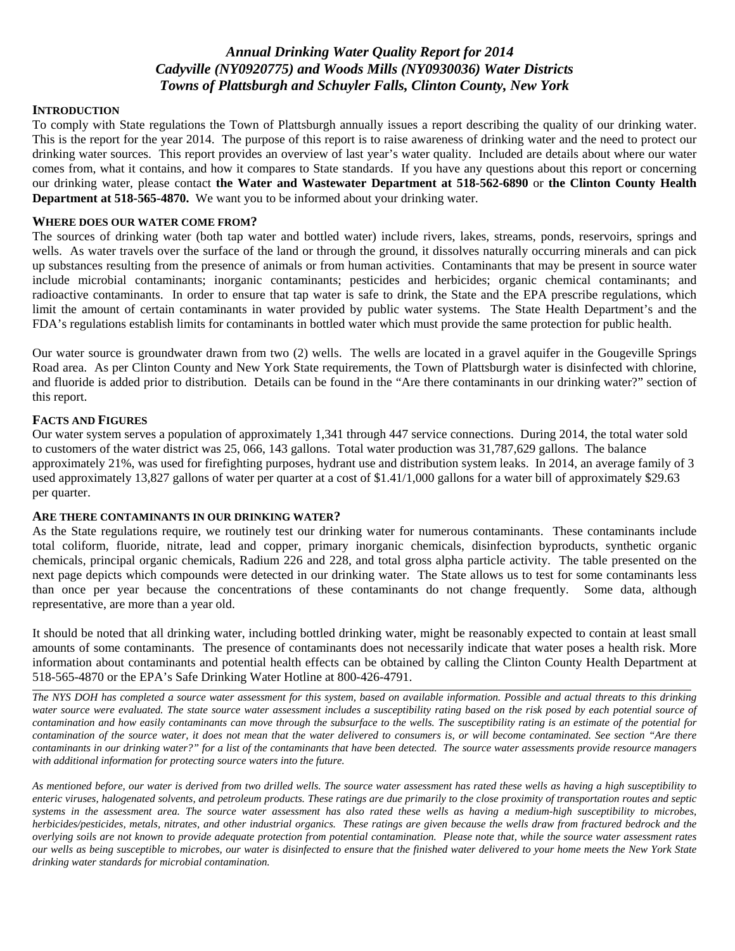# *Annual Drinking Water Quality Report for 2014 Cadyville (NY0920775) and Woods Mills (NY0930036) Water Districts Towns of Plattsburgh and Schuyler Falls, Clinton County, New York*

#### **INTRODUCTION**

To comply with State regulations the Town of Plattsburgh annually issues a report describing the quality of our drinking water. This is the report for the year 2014. The purpose of this report is to raise awareness of drinking water and the need to protect our drinking water sources. This report provides an overview of last year's water quality. Included are details about where our water comes from, what it contains, and how it compares to State standards. If you have any questions about this report or concerning our drinking water, please contact **the Water and Wastewater Department at 518-562-6890** or **the Clinton County Health Department at 518-565-4870.** We want you to be informed about your drinking water.

#### **WHERE DOES OUR WATER COME FROM?**

The sources of drinking water (both tap water and bottled water) include rivers, lakes, streams, ponds, reservoirs, springs and wells. As water travels over the surface of the land or through the ground, it dissolves naturally occurring minerals and can pick up substances resulting from the presence of animals or from human activities. Contaminants that may be present in source water include microbial contaminants; inorganic contaminants; pesticides and herbicides; organic chemical contaminants; and radioactive contaminants. In order to ensure that tap water is safe to drink, the State and the EPA prescribe regulations, which limit the amount of certain contaminants in water provided by public water systems. The State Health Department's and the FDA's regulations establish limits for contaminants in bottled water which must provide the same protection for public health.

Our water source is groundwater drawn from two (2) wells. The wells are located in a gravel aquifer in the Gougeville Springs Road area. As per Clinton County and New York State requirements, the Town of Plattsburgh water is disinfected with chlorine, and fluoride is added prior to distribution. Details can be found in the "Are there contaminants in our drinking water?" section of this report.

#### **FACTS AND FIGURES**

Our water system serves a population of approximately 1,341 through 447 service connections. During 2014, the total water sold to customers of the water district was 25, 066, 143 gallons. Total water production was 31,787,629 gallons. The balance approximately 21%, was used for firefighting purposes, hydrant use and distribution system leaks. In 2014, an average family of 3 used approximately 13,827 gallons of water per quarter at a cost of \$1.41/1,000 gallons for a water bill of approximately \$29.63 per quarter.

#### **ARE THERE CONTAMINANTS IN OUR DRINKING WATER?**

As the State regulations require, we routinely test our drinking water for numerous contaminants. These contaminants include total coliform, fluoride, nitrate, lead and copper, primary inorganic chemicals, disinfection byproducts, synthetic organic chemicals, principal organic chemicals, Radium 226 and 228, and total gross alpha particle activity. The table presented on the next page depicts which compounds were detected in our drinking water. The State allows us to test for some contaminants less than once per year because the concentrations of these contaminants do not change frequently. Some data, although representative, are more than a year old.

It should be noted that all drinking water, including bottled drinking water, might be reasonably expected to contain at least small amounts of some contaminants. The presence of contaminants does not necessarily indicate that water poses a health risk. More information about contaminants and potential health effects can be obtained by calling the Clinton County Health Department at 518-565-4870 or the EPA's Safe Drinking Water Hotline at 800-426-4791.

*The NYS DOH has completed a source water assessment for this system, based on available information. Possible and actual threats to this drinking*  water source were evaluated. The state source water assessment includes a susceptibility rating based on the risk posed by each potential source of *contamination and how easily contaminants can move through the subsurface to the wells. The susceptibility rating is an estimate of the potential for contamination of the source water, it does not mean that the water delivered to consumers is, or will become contaminated. See section "Are there contaminants in our drinking water?" for a list of the contaminants that have been detected. The source water assessments provide resource managers with additional information for protecting source waters into the future.* 

*As mentioned before, our water is derived from two drilled wells. The source water assessment has rated these wells as having a high susceptibility to enteric viruses, halogenated solvents, and petroleum products. These ratings are due primarily to the close proximity of transportation routes and septic systems in the assessment area. The source water assessment has also rated these wells as having a medium-high susceptibility to microbes, herbicides/pesticides, metals, nitrates, and other industrial organics. These ratings are given because the wells draw from fractured bedrock and the overlying soils are not known to provide adequate protection from potential contamination. Please note that, while the source water assessment rates our wells as being susceptible to microbes, our water is disinfected to ensure that the finished water delivered to your home meets the New York State drinking water standards for microbial contamination.*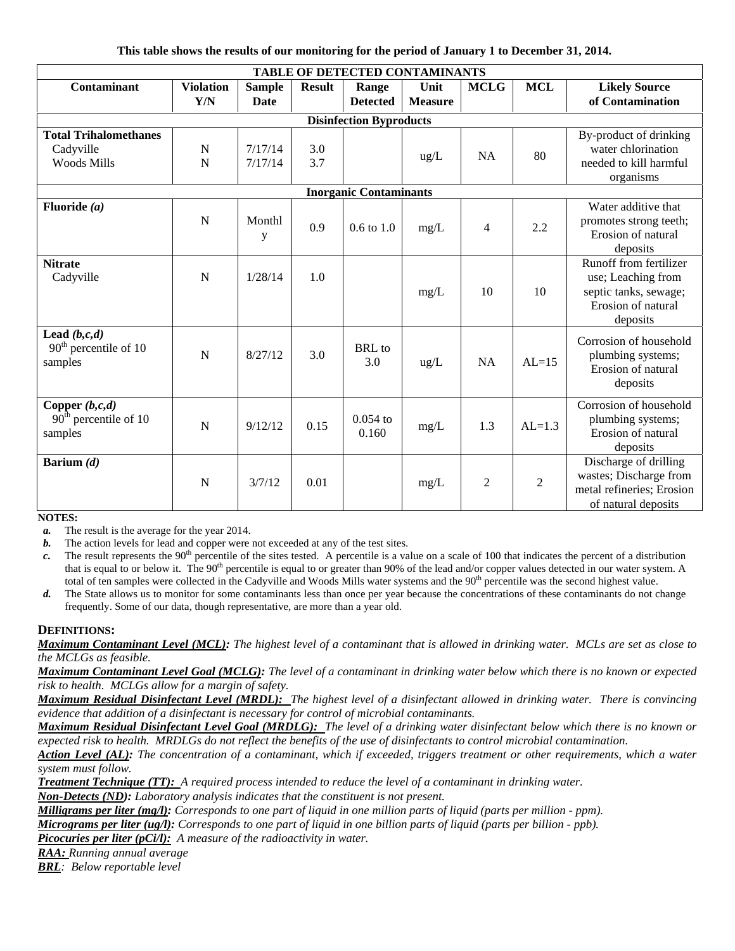| This table shows the results of our monitoring for the period of January 1 to December 31, 2014. |  |  |
|--------------------------------------------------------------------------------------------------|--|--|
|                                                                                                  |  |  |

| TABLE OF DETECTED CONTAMINANTS                                  |                  |                    |               |                     |                |                |                |                                                                                                         |  |  |
|-----------------------------------------------------------------|------------------|--------------------|---------------|---------------------|----------------|----------------|----------------|---------------------------------------------------------------------------------------------------------|--|--|
| Contaminant                                                     | <b>Violation</b> | <b>Sample</b>      | <b>Result</b> | Range               | Unit           | <b>MCLG</b>    | <b>MCL</b>     | <b>Likely Source</b>                                                                                    |  |  |
|                                                                 | Y/N              | <b>Date</b>        |               | <b>Detected</b>     | <b>Measure</b> |                |                | of Contamination                                                                                        |  |  |
| <b>Disinfection Byproducts</b>                                  |                  |                    |               |                     |                |                |                |                                                                                                         |  |  |
| <b>Total Trihalomethanes</b><br>Cadyville<br><b>Woods Mills</b> | N<br>N           | 7/17/14<br>7/17/14 | 3.0<br>3.7    |                     | $\text{ug/L}$  | <b>NA</b>      | 80             | By-product of drinking<br>water chlorination<br>needed to kill harmful<br>organisms                     |  |  |
| <b>Inorganic Contaminants</b>                                   |                  |                    |               |                     |                |                |                |                                                                                                         |  |  |
| Fluoride $(a)$                                                  | N                | Monthl<br>y        | 0.9           | $0.6$ to $1.0$      | mg/L           | $\overline{4}$ | 2.2            | Water additive that<br>promotes strong teeth;<br>Erosion of natural<br>deposits                         |  |  |
| <b>Nitrate</b><br>Cadyville                                     | $\mathbf N$      | 1/28/14            | 1.0           |                     | mg/L           | 10             | 10             | Runoff from fertilizer<br>use; Leaching from<br>septic tanks, sewage;<br>Erosion of natural<br>deposits |  |  |
| Lead $(b, c, d)$<br>$90th$ percentile of 10<br>samples          | N                | 8/27/12            | 3.0           | BRL to<br>3.0       | $\text{ug/L}$  | <b>NA</b>      | $AL=15$        | Corrosion of household<br>plumbing systems;<br>Erosion of natural<br>deposits                           |  |  |
| Copper $(b, c, d)$<br>$90th$ percentile of 10<br>samples        | N                | 9/12/12            | 0.15          | $0.054$ to<br>0.160 | mg/L           | 1.3            | $AL=1.3$       | Corrosion of household<br>plumbing systems;<br>Erosion of natural<br>deposits                           |  |  |
| Barium $(d)$                                                    | $\mathbf N$      | 3/7/12             | 0.01          |                     | mg/L           | $\overline{2}$ | $\overline{2}$ | Discharge of drilling<br>wastes; Discharge from<br>metal refineries; Erosion<br>of natural deposits     |  |  |

**NOTES:** 

*a.* The result is the average for the year 2014.

*b.* The action levels for lead and copper were not exceeded at any of the test sites.

*c.* The result represents the 90<sup>th</sup> percentile of the sites tested. A percentile is a value on a scale of 100 that indicates the percent of a distribution that is equal to or below it. The 90<sup>th</sup> percentile is equal to or greater than 90% of the lead and/or copper values detected in our water system. A total of ten samples were collected in the Cadyville and Woods Mills water systems and the 90<sup>th</sup> percentile was the second highest value.

*d.* The State allows us to monitor for some contaminants less than once per year because the concentrations of these contaminants do not change frequently. Some of our data, though representative, are more than a year old.

# **DEFINITIONS:**

*Maximum Contaminant Level (MCL): The highest level of a contaminant that is allowed in drinking water. MCLs are set as close to the MCLGs as feasible.* 

*Maximum Contaminant Level Goal (MCLG): The level of a contaminant in drinking water below which there is no known or expected risk to health. MCLGs allow for a margin of safety.* 

*Maximum Residual Disinfectant Level (MRDL): The highest level of a disinfectant allowed in drinking water. There is convincing evidence that addition of a disinfectant is necessary for control of microbial contaminants.* 

*Maximum Residual Disinfectant Level Goal (MRDLG): The level of a drinking water disinfectant below which there is no known or expected risk to health. MRDLGs do not reflect the benefits of the use of disinfectants to control microbial contamination.* 

*Action Level (AL): The concentration of a contaminant, which if exceeded, triggers treatment or other requirements, which a water system must follow.* 

*Treatment Technique (TT): A required process intended to reduce the level of a contaminant in drinking water. Non-Detects (ND): Laboratory analysis indicates that the constituent is not present.* 

*Milligrams per liter (mg/l): Corresponds to one part of liquid in one million parts of liquid (parts per million - ppm).* 

*Micrograms per liter (ug/l): Corresponds to one part of liquid in one billion parts of liquid (parts per billion - ppb).* 

*Picocuries per liter (pCi/l): A measure of the radioactivity in water.* 

*RAA: Running annual average* 

*BRL: Below reportable level*